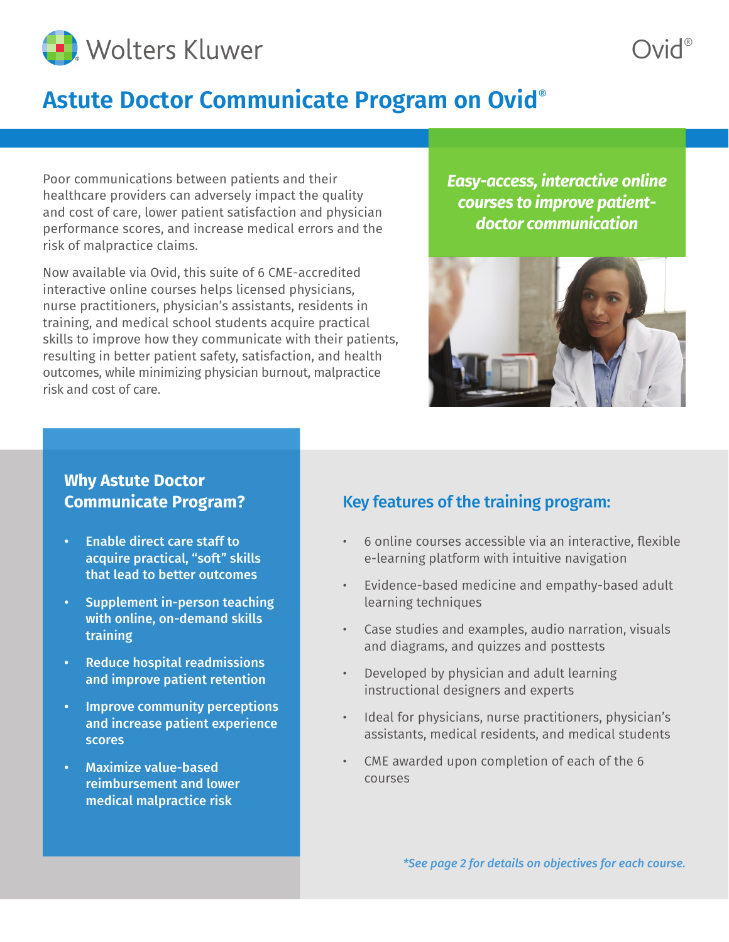

## **Astute Doctor Communicate Program on Ovid**®

Poor communications between patients and their healthcare providers can adversely impact the quality and cost of care, lower patient satisfaction and physician performance scores, and increase medical errors and the risk of malpractice claims.

Now available via Ovid, this suite of 6 CME-accredited interactive online courses helps licensed physicians, nurse practitioners, physician's assistants, residents in training, and medical school students acquire practical skills to improve how they communicate with their patients, resulting in better patient safety, satisfaction, and health outcomes, while minimizing physician burnout, malpractice risk and cost of care.

*Easy-access, interactive online courses to improve patientdoctor communication*



### **Why Astute Doctor Communicate Program?**

- Enable direct care staff to acquire practical, "soft" skills that lead to better outcomes
- Supplement in-person teaching with online, on-demand skills training
- Reduce hospital readmissions and improve patient retention
- Improve community perceptions and increase patient experience scores
- Maximize value-based reimbursement and lower medical malpractice risk

### Key features of the training program:

- 6 online courses accessible via an interactive, flexible e-learning platform with intuitive navigation
- Evidence-based medicine and empathy-based adult learning techniques
- Case studies and examples, audio narration, visuals and diagrams, and quizzes and posttests
- Developed by physician and adult learning instructional designers and experts
- Ideal for physicians, nurse practitioners, physician's assistants, medical residents, and medical students
- CME awarded upon completion of each of the 6 courses

*\*See page 2 for details on objectives for each course.*

Ovid®